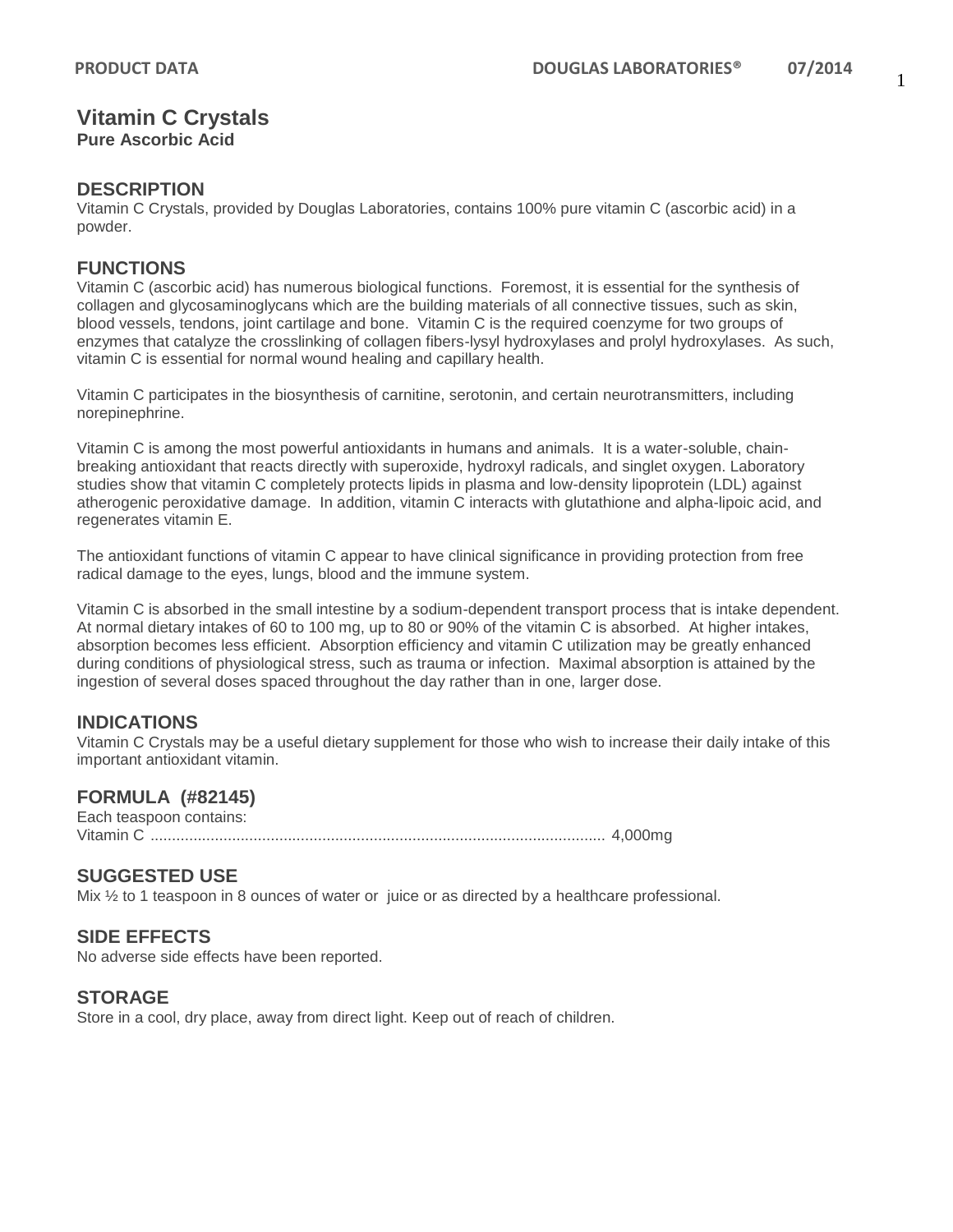# **Vitamin C Crystals**

**Pure Ascorbic Acid**

## **DESCRIPTION**

Vitamin C Crystals, provided by Douglas Laboratories, contains 100% pure vitamin C (ascorbic acid) in a powder.

# **FUNCTIONS**

Vitamin C (ascorbic acid) has numerous biological functions. Foremost, it is essential for the synthesis of collagen and glycosaminoglycans which are the building materials of all connective tissues, such as skin, blood vessels, tendons, joint cartilage and bone. Vitamin C is the required coenzyme for two groups of enzymes that catalyze the crosslinking of collagen fibers-lysyl hydroxylases and prolyl hydroxylases. As such, vitamin C is essential for normal wound healing and capillary health.

Vitamin C participates in the biosynthesis of carnitine, serotonin, and certain neurotransmitters, including norepinephrine.

Vitamin C is among the most powerful antioxidants in humans and animals. It is a water-soluble, chainbreaking antioxidant that reacts directly with superoxide, hydroxyl radicals, and singlet oxygen. Laboratory studies show that vitamin C completely protects lipids in plasma and low-density lipoprotein (LDL) against atherogenic peroxidative damage. In addition, vitamin C interacts with glutathione and alpha-lipoic acid, and regenerates vitamin E.

The antioxidant functions of vitamin C appear to have clinical significance in providing protection from free radical damage to the eyes, lungs, blood and the immune system.

Vitamin C is absorbed in the small intestine by a sodium-dependent transport process that is intake dependent. At normal dietary intakes of 60 to 100 mg, up to 80 or 90% of the vitamin C is absorbed. At higher intakes, absorption becomes less efficient. Absorption efficiency and vitamin C utilization may be greatly enhanced during conditions of physiological stress, such as trauma or infection. Maximal absorption is attained by the ingestion of several doses spaced throughout the day rather than in one, larger dose.

### **INDICATIONS**

Vitamin C Crystals may be a useful dietary supplement for those who wish to increase their daily intake of this important antioxidant vitamin.

### **FORMULA (#82145)**

Each teaspoon contains: Vitamin C .......................................................................................................... 4,000mg

### **SUGGESTED USE**

Mix ½ to 1 teaspoon in 8 ounces of water or juice or as directed by a healthcare professional.

# **SIDE EFFECTS**

No adverse side effects have been reported.

### **STORAGE**

Store in a cool, dry place, away from direct light. Keep out of reach of children.

1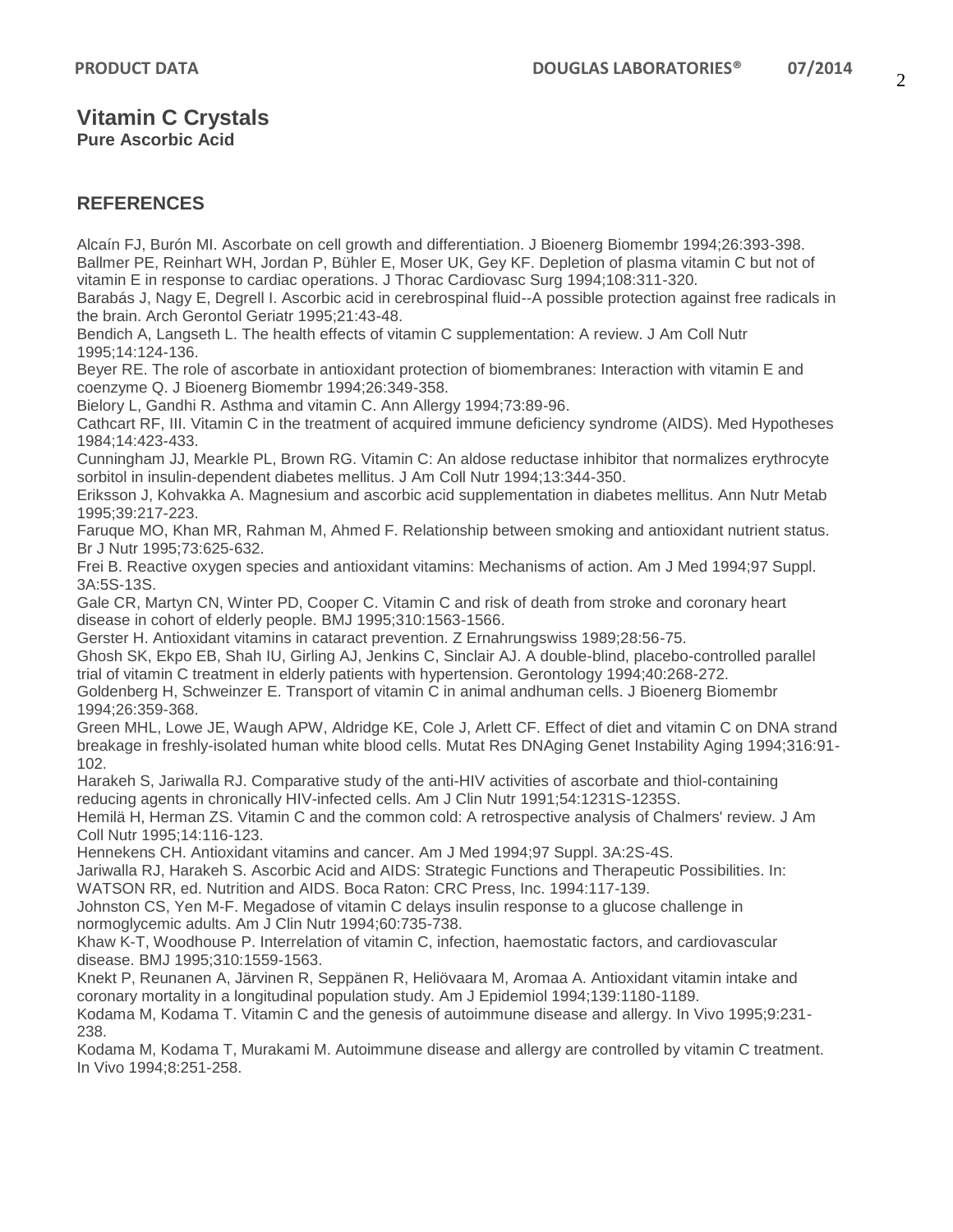# **Vitamin C Crystals**

**Pure Ascorbic Acid**

# **REFERENCES**

Alcaín FJ, Burón MI. Ascorbate on cell growth and differentiation. J Bioenerg Biomembr 1994;26:393-398. Ballmer PE, Reinhart WH, Jordan P, Bühler E, Moser UK, Gey KF. Depletion of plasma vitamin C but not of vitamin E in response to cardiac operations. J Thorac Cardiovasc Surg 1994;108:311-320.

Barabás J, Nagy E, Degrell I. Ascorbic acid in cerebrospinal fluid--A possible protection against free radicals in the brain. Arch Gerontol Geriatr 1995;21:43-48.

Bendich A, Langseth L. The health effects of vitamin C supplementation: A review. J Am Coll Nutr 1995;14:124-136.

Beyer RE. The role of ascorbate in antioxidant protection of biomembranes: Interaction with vitamin E and coenzyme Q. J Bioenerg Biomembr 1994;26:349-358.

Bielory L, Gandhi R. Asthma and vitamin C. Ann Allergy 1994;73:89-96.

Cathcart RF, III. Vitamin C in the treatment of acquired immune deficiency syndrome (AIDS). Med Hypotheses 1984;14:423-433.

Cunningham JJ, Mearkle PL, Brown RG. Vitamin C: An aldose reductase inhibitor that normalizes erythrocyte sorbitol in insulin-dependent diabetes mellitus. J Am Coll Nutr 1994;13:344-350.

Eriksson J, Kohvakka A. Magnesium and ascorbic acid supplementation in diabetes mellitus. Ann Nutr Metab 1995;39:217-223.

Faruque MO, Khan MR, Rahman M, Ahmed F. Relationship between smoking and antioxidant nutrient status. Br J Nutr 1995;73:625-632.

Frei B. Reactive oxygen species and antioxidant vitamins: Mechanisms of action. Am J Med 1994;97 Suppl. 3A:5S-13S.

Gale CR, Martyn CN, Winter PD, Cooper C. Vitamin C and risk of death from stroke and coronary heart disease in cohort of elderly people. BMJ 1995;310:1563-1566.

Gerster H. Antioxidant vitamins in cataract prevention. Z Ernahrungswiss 1989;28:56-75.

Ghosh SK, Ekpo EB, Shah IU, Girling AJ, Jenkins C, Sinclair AJ. A double-blind, placebo-controlled parallel trial of vitamin C treatment in elderly patients with hypertension. Gerontology 1994;40:268-272.

Goldenberg H, Schweinzer E. Transport of vitamin C in animal andhuman cells. J Bioenerg Biomembr 1994;26:359-368.

Green MHL, Lowe JE, Waugh APW, Aldridge KE, Cole J, Arlett CF. Effect of diet and vitamin C on DNA strand breakage in freshly-isolated human white blood cells. Mutat Res DNAging Genet Instability Aging 1994;316:91- 102.

Harakeh S, Jariwalla RJ. Comparative study of the anti-HIV activities of ascorbate and thiol-containing reducing agents in chronically HIV-infected cells. Am J Clin Nutr 1991;54:1231S-1235S.

Hemilä H, Herman ZS. Vitamin C and the common cold: A retrospective analysis of Chalmers' review. J Am Coll Nutr 1995;14:116-123.

Hennekens CH. Antioxidant vitamins and cancer. Am J Med 1994;97 Suppl. 3A:2S-4S.

Jariwalla RJ, Harakeh S. Ascorbic Acid and AIDS: Strategic Functions and Therapeutic Possibilities. In: WATSON RR, ed. Nutrition and AIDS. Boca Raton: CRC Press, Inc. 1994:117-139.

Johnston CS, Yen M-F. Megadose of vitamin C delays insulin response to a glucose challenge in normoglycemic adults. Am J Clin Nutr 1994;60:735-738.

Khaw K-T, Woodhouse P. Interrelation of vitamin C, infection, haemostatic factors, and cardiovascular disease. BMJ 1995;310:1559-1563.

Knekt P, Reunanen A, Järvinen R, Seppänen R, Heliövaara M, Aromaa A. Antioxidant vitamin intake and coronary mortality in a longitudinal population study. Am J Epidemiol 1994;139:1180-1189.

Kodama M, Kodama T. Vitamin C and the genesis of autoimmune disease and allergy. In Vivo 1995;9:231- 238.

Kodama M, Kodama T, Murakami M. Autoimmune disease and allergy are controlled by vitamin C treatment. In Vivo 1994;8:251-258.